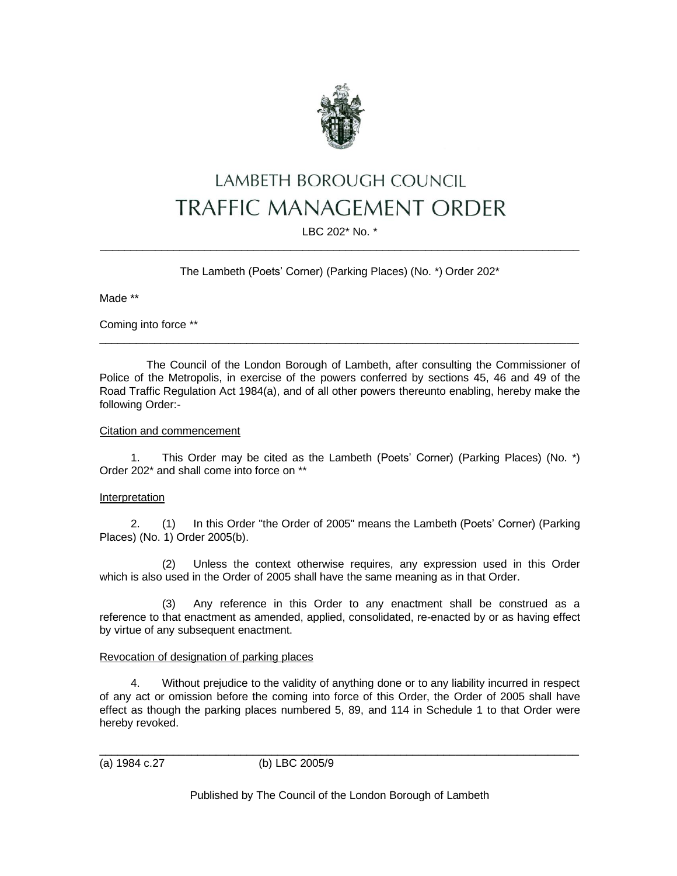

# LAMBETH BOROUGH COUNCIL **TRAFFIC MANAGEMENT ORDER**

LBC 202\* No. \* \_\_\_\_\_\_\_\_\_\_\_\_\_\_\_\_\_\_\_\_\_\_\_\_\_\_\_\_\_\_\_\_\_\_\_\_\_\_\_\_\_\_\_\_\_\_\_\_\_\_\_\_\_\_\_\_\_\_\_\_\_\_\_\_\_\_\_\_\_\_\_\_\_\_\_\_\_\_

The Lambeth (Poets' Corner) (Parking Places) (No. \*) Order 202\*

Made \*\*

Coming into force \*\*

The Council of the London Borough of Lambeth, after consulting the Commissioner of Police of the Metropolis, in exercise of the powers conferred by sections 45, 46 and 49 of the Road Traffic Regulation Act 1984(a), and of all other powers thereunto enabling, hereby make the following Order:-

\_\_\_\_\_\_\_\_\_\_\_\_\_\_\_\_\_\_\_\_\_\_\_\_\_\_\_\_\_\_\_\_\_\_\_\_\_\_\_\_\_\_\_\_\_\_\_\_\_\_\_\_\_\_\_\_\_\_\_\_\_\_\_\_\_\_\_\_\_\_\_\_\_\_\_\_\_\_

# Citation and commencement

1. This Order may be cited as the Lambeth (Poets' Corner) (Parking Places) (No. \*) Order 202\* and shall come into force on \*\*

# Interpretation

2. (1) In this Order "the Order of 2005" means the Lambeth (Poets' Corner) (Parking Places) (No. 1) Order 2005(b).

(2) Unless the context otherwise requires, any expression used in this Order which is also used in the Order of 2005 shall have the same meaning as in that Order.

(3) Any reference in this Order to any enactment shall be construed as a reference to that enactment as amended, applied, consolidated, re-enacted by or as having effect by virtue of any subsequent enactment.

# Revocation of designation of parking places

4. Without prejudice to the validity of anything done or to any liability incurred in respect of any act or omission before the coming into force of this Order, the Order of 2005 shall have effect as though the parking places numbered 5, 89, and 114 in Schedule 1 to that Order were hereby revoked.

(a) 1984 c.27 (b) LBC 2005/9

Published by The Council of the London Borough of Lambeth

\_\_\_\_\_\_\_\_\_\_\_\_\_\_\_\_\_\_\_\_\_\_\_\_\_\_\_\_\_\_\_\_\_\_\_\_\_\_\_\_\_\_\_\_\_\_\_\_\_\_\_\_\_\_\_\_\_\_\_\_\_\_\_\_\_\_\_\_\_\_\_\_\_\_\_\_\_\_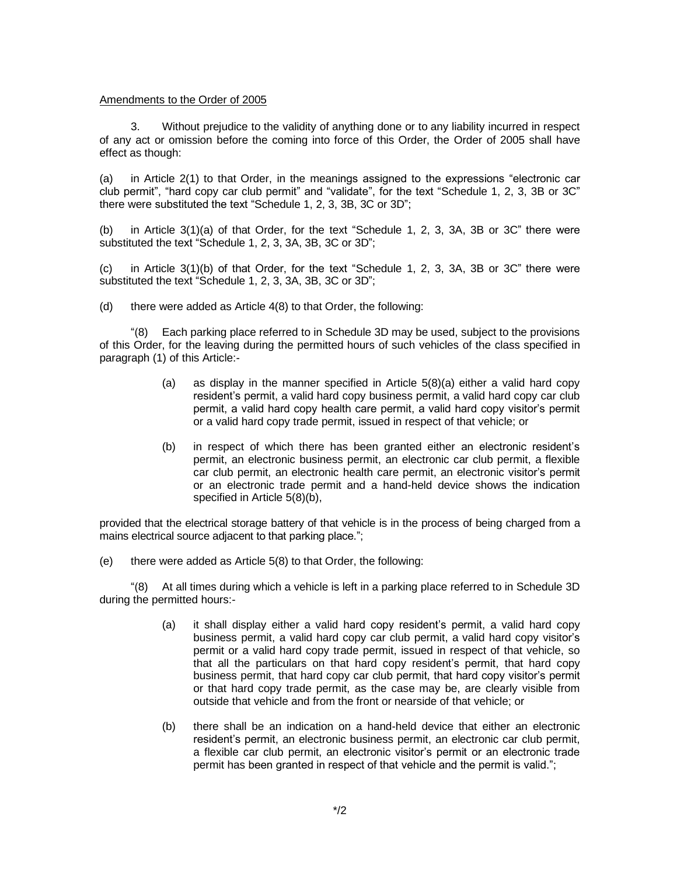#### Amendments to the Order of 2005

3. Without prejudice to the validity of anything done or to any liability incurred in respect of any act or omission before the coming into force of this Order, the Order of 2005 shall have effect as though:

(a) in Article 2(1) to that Order, in the meanings assigned to the expressions "electronic car club permit", "hard copy car club permit" and "validate", for the text "Schedule 1, 2, 3, 3B or 3C" there were substituted the text "Schedule 1, 2, 3, 3B, 3C or 3D";

(b) in Article 3(1)(a) of that Order, for the text "Schedule 1, 2, 3, 3A, 3B or 3C" there were substituted the text "Schedule 1, 2, 3, 3A, 3B, 3C or 3D";

(c) in Article 3(1)(b) of that Order, for the text "Schedule 1, 2, 3, 3A, 3B or 3C" there were substituted the text "Schedule 1, 2, 3, 3A, 3B, 3C or 3D";

(d) there were added as Article 4(8) to that Order, the following:

"(8) Each parking place referred to in Schedule 3D may be used, subject to the provisions of this Order, for the leaving during the permitted hours of such vehicles of the class specified in paragraph (1) of this Article:-

- (a) as display in the manner specified in Article 5(8)(a) either a valid hard copy resident's permit, a valid hard copy business permit, a valid hard copy car club permit, a valid hard copy health care permit, a valid hard copy visitor's permit or a valid hard copy trade permit, issued in respect of that vehicle; or
- (b) in respect of which there has been granted either an electronic resident's permit, an electronic business permit, an electronic car club permit, a flexible car club permit, an electronic health care permit, an electronic visitor's permit or an electronic trade permit and a hand-held device shows the indication specified in Article 5(8)(b),

provided that the electrical storage battery of that vehicle is in the process of being charged from a mains electrical source adjacent to that parking place.";

(e) there were added as Article 5(8) to that Order, the following:

"(8) At all times during which a vehicle is left in a parking place referred to in Schedule 3D during the permitted hours:-

- (a) it shall display either a valid hard copy resident's permit, a valid hard copy business permit, a valid hard copy car club permit, a valid hard copy visitor's permit or a valid hard copy trade permit, issued in respect of that vehicle, so that all the particulars on that hard copy resident's permit, that hard copy business permit, that hard copy car club permit, that hard copy visitor's permit or that hard copy trade permit, as the case may be, are clearly visible from outside that vehicle and from the front or nearside of that vehicle; or
- (b) there shall be an indication on a hand-held device that either an electronic resident's permit, an electronic business permit, an electronic car club permit, a flexible car club permit, an electronic visitor's permit or an electronic trade permit has been granted in respect of that vehicle and the permit is valid.";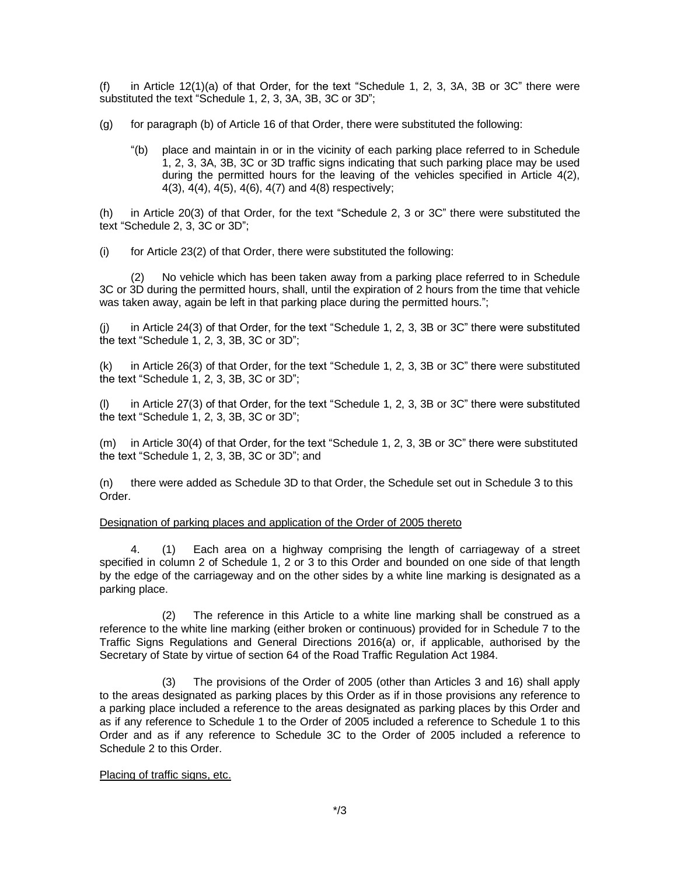(f) in Article 12(1)(a) of that Order, for the text "Schedule 1, 2, 3, 3A, 3B or 3C" there were substituted the text "Schedule 1, 2, 3, 3A, 3B, 3C or 3D";

- (g) for paragraph (b) of Article 16 of that Order, there were substituted the following:
	- "(b) place and maintain in or in the vicinity of each parking place referred to in Schedule 1, 2, 3, 3A, 3B, 3C or 3D traffic signs indicating that such parking place may be used during the permitted hours for the leaving of the vehicles specified in Article 4(2), 4(3), 4(4), 4(5), 4(6), 4(7) and 4(8) respectively;

(h) in Article 20(3) of that Order, for the text "Schedule 2, 3 or 3C" there were substituted the text "Schedule 2, 3, 3C or 3D";

(i) for Article 23(2) of that Order, there were substituted the following:

(2) No vehicle which has been taken away from a parking place referred to in Schedule 3C or 3D during the permitted hours, shall, until the expiration of 2 hours from the time that vehicle was taken away, again be left in that parking place during the permitted hours.";

(j) in Article 24(3) of that Order, for the text "Schedule 1, 2, 3, 3B or 3C" there were substituted the text "Schedule 1, 2, 3, 3B, 3C or 3D";

(k) in Article 26(3) of that Order, for the text "Schedule 1, 2, 3, 3B or 3C" there were substituted the text "Schedule 1, 2, 3, 3B, 3C or 3D";

(l) in Article 27(3) of that Order, for the text "Schedule 1, 2, 3, 3B or 3C" there were substituted the text "Schedule 1, 2, 3, 3B, 3C or 3D";

(m) in Article 30(4) of that Order, for the text "Schedule 1, 2, 3, 3B or 3C" there were substituted the text "Schedule 1, 2, 3, 3B, 3C or 3D"; and

(n) there were added as Schedule 3D to that Order, the Schedule set out in Schedule 3 to this Order.

# Designation of parking places and application of the Order of 2005 thereto

4. (1) Each area on a highway comprising the length of carriageway of a street specified in column 2 of Schedule 1, 2 or 3 to this Order and bounded on one side of that length by the edge of the carriageway and on the other sides by a white line marking is designated as a parking place.

(2) The reference in this Article to a white line marking shall be construed as a reference to the white line marking (either broken or continuous) provided for in Schedule 7 to the Traffic Signs Regulations and General Directions 2016(a) or, if applicable, authorised by the Secretary of State by virtue of section 64 of the Road Traffic Regulation Act 1984.

(3) The provisions of the Order of 2005 (other than Articles 3 and 16) shall apply to the areas designated as parking places by this Order as if in those provisions any reference to a parking place included a reference to the areas designated as parking places by this Order and as if any reference to Schedule 1 to the Order of 2005 included a reference to Schedule 1 to this Order and as if any reference to Schedule 3C to the Order of 2005 included a reference to Schedule 2 to this Order.

# Placing of traffic signs, etc.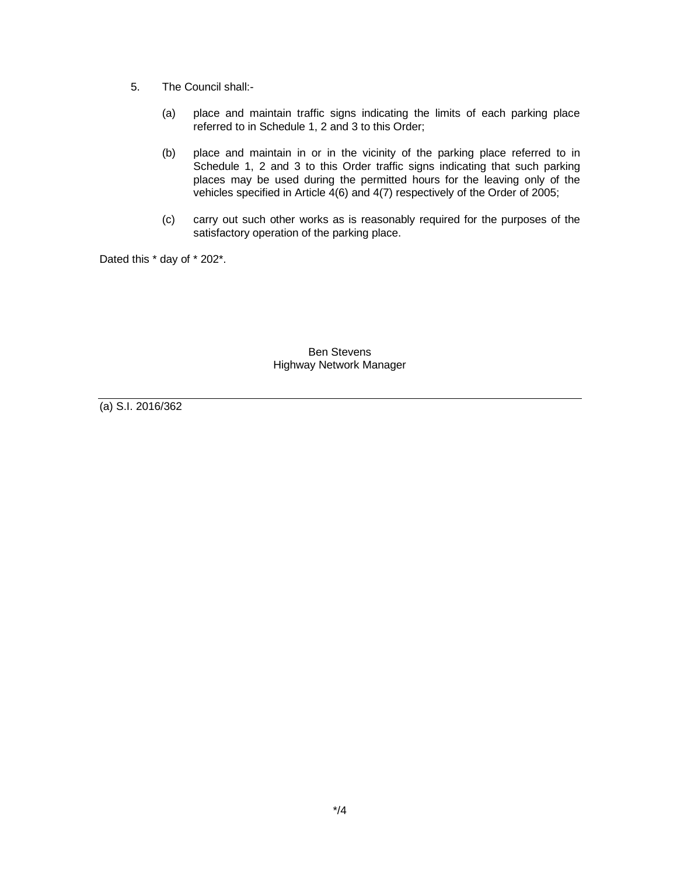- 5. The Council shall:-
	- (a) place and maintain traffic signs indicating the limits of each parking place referred to in Schedule 1, 2 and 3 to this Order;
	- (b) place and maintain in or in the vicinity of the parking place referred to in Schedule 1, 2 and 3 to this Order traffic signs indicating that such parking places may be used during the permitted hours for the leaving only of the vehicles specified in Article 4(6) and 4(7) respectively of the Order of 2005;
	- (c) carry out such other works as is reasonably required for the purposes of the satisfactory operation of the parking place.

Dated this \* day of \* 202\*.

Ben Stevens Highway Network Manager

(a) S.I. 2016/362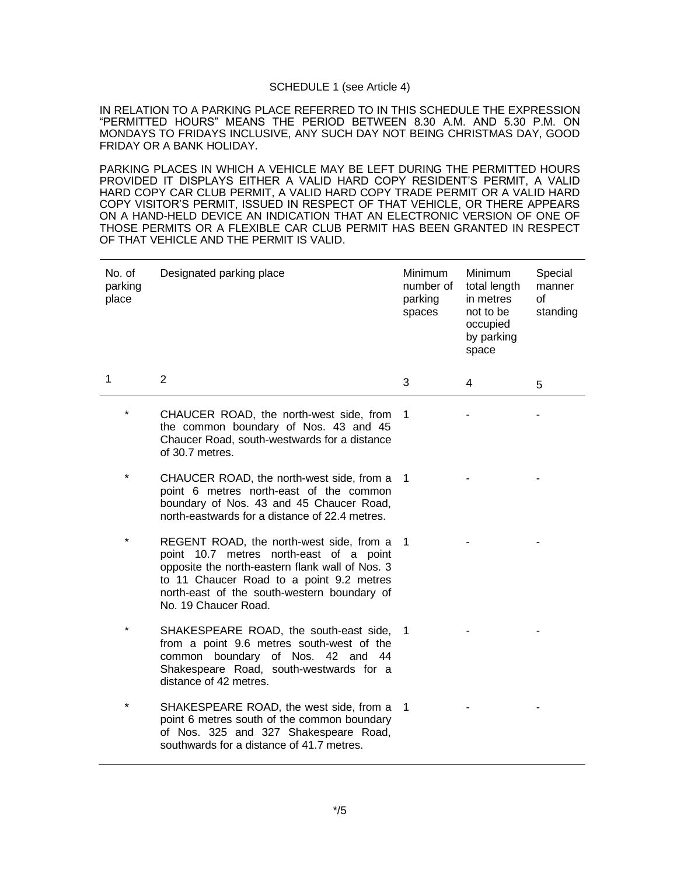#### SCHEDULE 1 (see Article 4)

IN RELATION TO A PARKING PLACE REFERRED TO IN THIS SCHEDULE THE EXPRESSION "PERMITTED HOURS" MEANS THE PERIOD BETWEEN 8.30 A.M. AND 5.30 P.M. ON MONDAYS TO FRIDAYS INCLUSIVE, ANY SUCH DAY NOT BEING CHRISTMAS DAY, GOOD FRIDAY OR A BANK HOLIDAY.

PARKING PLACES IN WHICH A VEHICLE MAY BE LEFT DURING THE PERMITTED HOURS PROVIDED IT DISPLAYS EITHER A VALID HARD COPY RESIDENT'S PERMIT, A VALID HARD COPY CAR CLUB PERMIT, A VALID HARD COPY TRADE PERMIT OR A VALID HARD COPY VISITOR'S PERMIT, ISSUED IN RESPECT OF THAT VEHICLE, OR THERE APPEARS ON A HAND-HELD DEVICE AN INDICATION THAT AN ELECTRONIC VERSION OF ONE OF THOSE PERMITS OR A FLEXIBLE CAR CLUB PERMIT HAS BEEN GRANTED IN RESPECT OF THAT VEHICLE AND THE PERMIT IS VALID.

| No. of<br>parking<br>place | Designated parking place                                                                                                                                                                                                                                  | <b>Minimum</b><br>number of<br>parking<br>spaces | <b>Minimum</b><br>total length<br>in metres<br>not to be<br>occupied<br>by parking<br>space | Special<br>manner<br>$\Omega$<br>standing |
|----------------------------|-----------------------------------------------------------------------------------------------------------------------------------------------------------------------------------------------------------------------------------------------------------|--------------------------------------------------|---------------------------------------------------------------------------------------------|-------------------------------------------|
| 1                          | $\overline{2}$                                                                                                                                                                                                                                            | 3                                                | 4                                                                                           | 5                                         |
|                            | CHAUCER ROAD, the north-west side, from<br>the common boundary of Nos. 43 and 45<br>Chaucer Road, south-westwards for a distance<br>of 30.7 metres.                                                                                                       | 1                                                |                                                                                             |                                           |
| $\star$                    | CHAUCER ROAD, the north-west side, from a<br>point 6 metres north-east of the common<br>boundary of Nos. 43 and 45 Chaucer Road,<br>north-eastwards for a distance of 22.4 metres.                                                                        | 1                                                |                                                                                             |                                           |
| $^\star$                   | REGENT ROAD, the north-west side, from a<br>point 10.7 metres north-east of a point<br>opposite the north-eastern flank wall of Nos. 3<br>to 11 Chaucer Road to a point 9.2 metres<br>north-east of the south-western boundary of<br>No. 19 Chaucer Road. | $\overline{1}$                                   |                                                                                             |                                           |
| $^\star$                   | SHAKESPEARE ROAD, the south-east side, 1<br>from a point 9.6 metres south-west of the<br>common boundary of Nos. 42 and 44<br>Shakespeare Road, south-westwards for a<br>distance of 42 metres.                                                           |                                                  |                                                                                             |                                           |
|                            | SHAKESPEARE ROAD, the west side, from a<br>point 6 metres south of the common boundary<br>of Nos. 325 and 327 Shakespeare Road,<br>southwards for a distance of 41.7 metres.                                                                              | $\overline{1}$                                   |                                                                                             |                                           |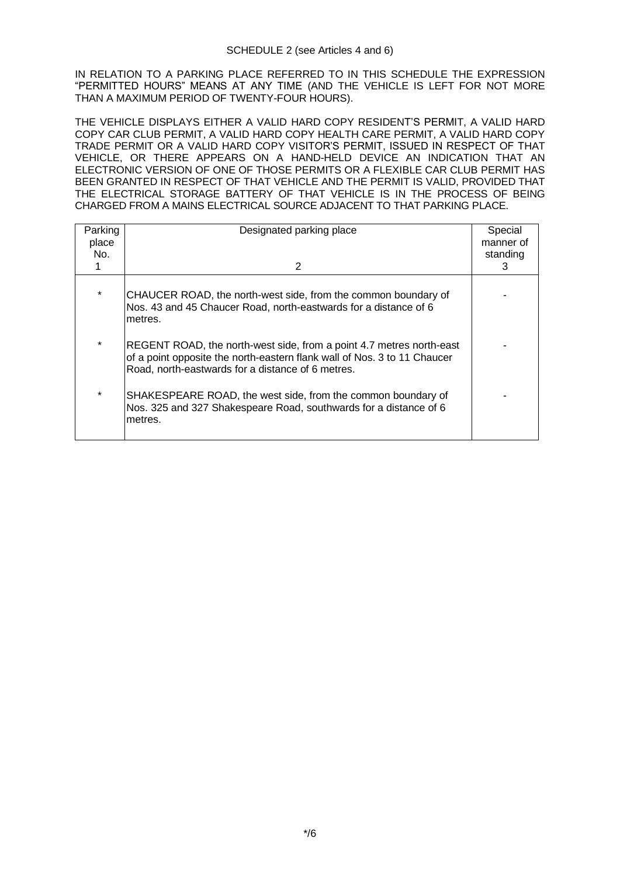IN RELATION TO A PARKING PLACE REFERRED TO IN THIS SCHEDULE THE EXPRESSION "PERMITTED HOURS" MEANS AT ANY TIME (AND THE VEHICLE IS LEFT FOR NOT MORE THAN A MAXIMUM PERIOD OF TWENTY-FOUR HOURS).

THE VEHICLE DISPLAYS EITHER A VALID HARD COPY RESIDENT'S PERMIT, A VALID HARD COPY CAR CLUB PERMIT, A VALID HARD COPY HEALTH CARE PERMIT, A VALID HARD COPY TRADE PERMIT OR A VALID HARD COPY VISITOR'S PERMIT, ISSUED IN RESPECT OF THAT VEHICLE, OR THERE APPEARS ON A HAND-HELD DEVICE AN INDICATION THAT AN ELECTRONIC VERSION OF ONE OF THOSE PERMITS OR A FLEXIBLE CAR CLUB PERMIT HAS BEEN GRANTED IN RESPECT OF THAT VEHICLE AND THE PERMIT IS VALID, PROVIDED THAT THE ELECTRICAL STORAGE BATTERY OF THAT VEHICLE IS IN THE PROCESS OF BEING CHARGED FROM A MAINS ELECTRICAL SOURCE ADJACENT TO THAT PARKING PLACE.

| Parking<br>place<br>No. | Designated parking place                                                                                                                                                                              | Special<br>manner of<br>standing |
|-------------------------|-------------------------------------------------------------------------------------------------------------------------------------------------------------------------------------------------------|----------------------------------|
|                         | 2                                                                                                                                                                                                     | З                                |
| $\star$                 | CHAUCER ROAD, the north-west side, from the common boundary of<br>Nos. 43 and 45 Chaucer Road, north-eastwards for a distance of 6<br>metres.                                                         |                                  |
| $\star$                 | REGENT ROAD, the north-west side, from a point 4.7 metres north-east<br>of a point opposite the north-eastern flank wall of Nos. 3 to 11 Chaucer<br>Road, north-eastwards for a distance of 6 metres. |                                  |
| $\star$                 | SHAKESPEARE ROAD, the west side, from the common boundary of<br>Nos. 325 and 327 Shakespeare Road, southwards for a distance of 6<br>metres.                                                          |                                  |